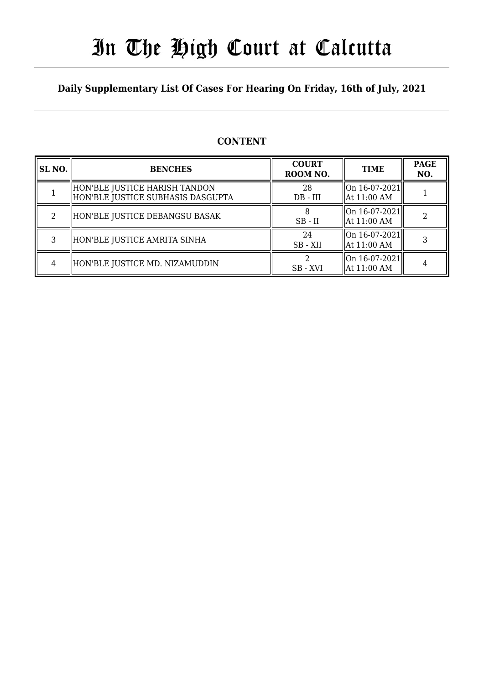# In The High Court at Calcutta

### **Daily Supplementary List Of Cases For Hearing On Friday, 16th of July, 2021**

### **CONTENT**

| <b>SL NO.</b>  | <b>BENCHES</b>                                                       | <b>COURT</b><br>ROOM NO. | <b>TIME</b>                                    | <b>PAGE</b><br>NO. |
|----------------|----------------------------------------------------------------------|--------------------------|------------------------------------------------|--------------------|
|                | HON'BLE JUSTICE HARISH TANDON<br>  HON'BLE JUSTICE SUBHASIS DASGUPTA | 28<br>$DB$ - $III$       | On 16-07-2021 <br>  At 11:00 AM                |                    |
| $\mathfrak{D}$ | HON'BLE JUSTICE DEBANGSU BASAK                                       | $SB$ - $II$              | On 16-07-2021 <br>  At 11:00 AM                |                    |
| 3              | HON'BLE JUSTICE AMRITA SINHA                                         | 24<br>SB - XII           | On 16-07-2021 <br>  At 11:00 AM                |                    |
| 4              | HON'BLE JUSTICE MD. NIZAMUDDIN                                       | SB - XVI                 | $\vert$ On 16-07-2021 $\vert$<br>  At 11:00 AM |                    |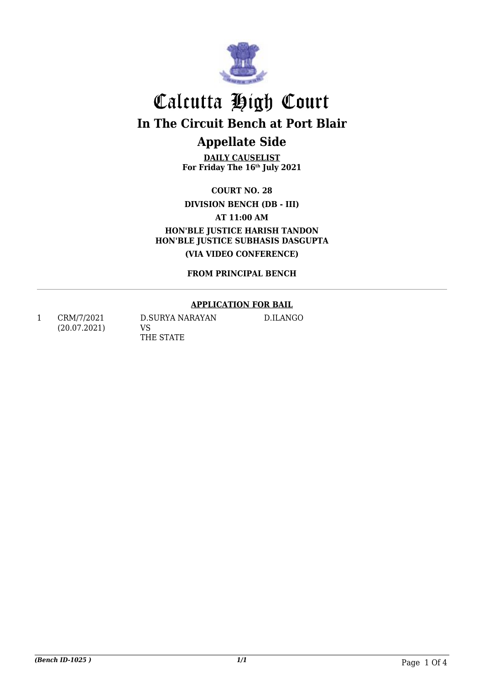

**DAILY CAUSELIST For Friday The 16th July 2021**

**COURT NO. 28**

**DIVISION BENCH (DB - III)**

**AT 11:00 AM**

**HON'BLE JUSTICE HARISH TANDON HON'BLE JUSTICE SUBHASIS DASGUPTA (VIA VIDEO CONFERENCE)**

**FROM PRINCIPAL BENCH**

#### **APPLICATION FOR BAIL**

D.ILANGO

1 CRM/7/2021 (20.07.2021) D.SURYA NARAYAN VS THE STATE

*(Bench ID-1025 ) 1/1* Page 1 Of 4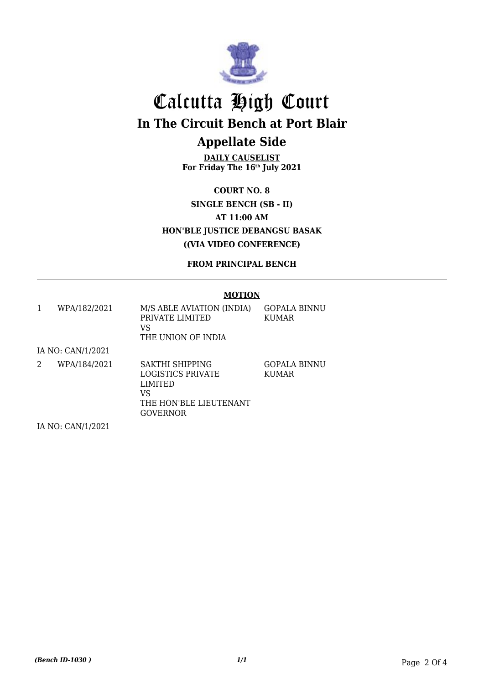

**DAILY CAUSELIST For Friday The 16th July 2021**

**COURT NO. 8 SINGLE BENCH (SB - II) AT 11:00 AM HON'BLE JUSTICE DEBANGSU BASAK ((VIA VIDEO CONFERENCE)**

**FROM PRINCIPAL BENCH**

#### **MOTION**

GOPALA BINNU

KUMAR

| WPA/182/2021 | M/S ABLE AVIATION (INDIA)<br>PRIVATE LIMITED<br>VS<br>THE UNION OF INDIA | - GOPALA BINNU<br><b>KUMAR</b> |
|--------------|--------------------------------------------------------------------------|--------------------------------|
|--------------|--------------------------------------------------------------------------|--------------------------------|

IA NO: CAN/1/2021

2 WPA/184/2021 SAKTHI SHIPPING LOGISTICS PRIVATE LIMITED VS THE HON'BLE LIEUTENANT GOVERNOR

IA NO: CAN/1/2021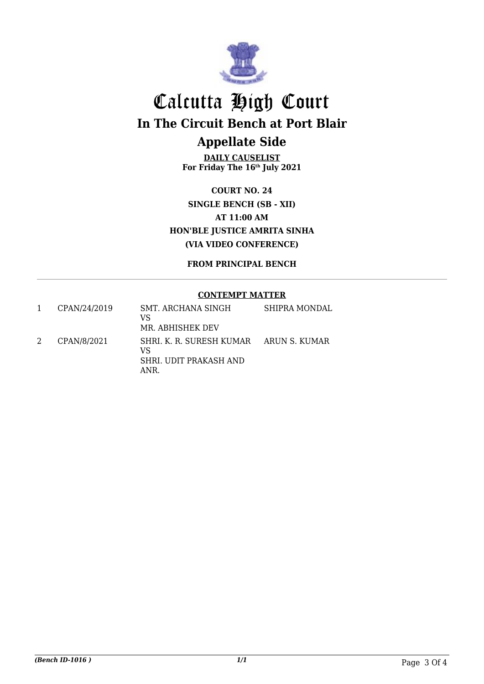

**DAILY CAUSELIST For Friday The 16th July 2021**

**COURT NO. 24 SINGLE BENCH (SB - XII) AT 11:00 AM HON'BLE JUSTICE AMRITA SINHA (VIA VIDEO CONFERENCE)**

**FROM PRINCIPAL BENCH**

#### **CONTEMPT MATTER**

|   | CPAN/24/2019 | SMT. ARCHANA SINGH<br>VS<br>MR. ABHISHEK DEV                                   | SHIPRA MONDAL |
|---|--------------|--------------------------------------------------------------------------------|---------------|
| 2 | CPAN/8/2021  | SHRI. K. R. SURESH KUMAR ARUN S. KUMAR<br>VS<br>SHRI. UDIT PRAKASH AND<br>ANR. |               |